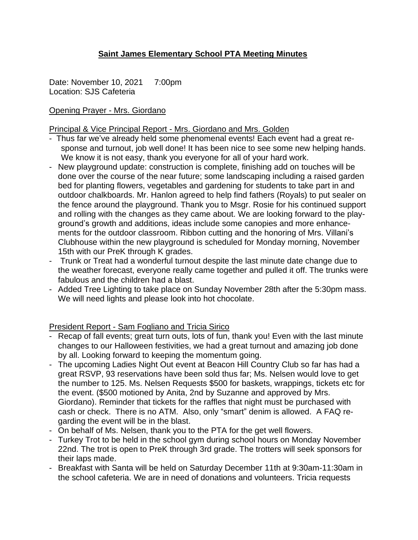# **Saint James Elementary School PTA Meeting Minutes**

Date: November 10, 2021 7:00pm Location: SJS Cafeteria

## Opening Prayer - Mrs. Giordano

### Principal & Vice Principal Report - Mrs. Giordano and Mrs. Golden

- Thus far we've already held some phenomenal events! Each event had a great response and turnout, job well done! It has been nice to see some new helping hands. We know it is not easy, thank you everyone for all of your hard work.
- New playground update: construction is complete, finishing add on touches will be done over the course of the near future; some landscaping including a raised garden bed for planting flowers, vegetables and gardening for students to take part in and outdoor chalkboards. Mr. Hanlon agreed to help find fathers (Royals) to put sealer on the fence around the playground. Thank you to Msgr. Rosie for his continued support and rolling with the changes as they came about. We are looking forward to the playground's growth and additions, ideas include some canopies and more enhancements for the outdoor classroom. Ribbon cutting and the honoring of Mrs. Villani's Clubhouse within the new playground is scheduled for Monday morning, November 15th with our PreK through K grades.
- Trunk or Treat had a wonderful turnout despite the last minute date change due to the weather forecast, everyone really came together and pulled it off. The trunks were fabulous and the children had a blast.
- Added Tree Lighting to take place on Sunday November 28th after the 5:30pm mass. We will need lights and please look into hot chocolate.

## President Report - Sam Fogliano and Tricia Sirico

- Recap of fall events; great turn outs, lots of fun, thank you! Even with the last minute changes to our Halloween festivities, we had a great turnout and amazing job done by all. Looking forward to keeping the momentum going.
- The upcoming Ladies Night Out event at Beacon Hill Country Club so far has had a great RSVP, 93 reservations have been sold thus far; Ms. Nelsen would love to get the number to 125. Ms. Nelsen Requests \$500 for baskets, wrappings, tickets etc for the event. (\$500 motioned by Anita, 2nd by Suzanne and approved by Mrs. Giordano). Reminder that tickets for the raffles that night must be purchased with cash or check. There is no ATM. Also, only "smart" denim is allowed. A FAQ regarding the event will be in the blast.
- On behalf of Ms. Nelsen, thank you to the PTA for the get well flowers.
- Turkey Trot to be held in the school gym during school hours on Monday November 22nd. The trot is open to PreK through 3rd grade. The trotters will seek sponsors for their laps made.
- Breakfast with Santa will be held on Saturday December 11th at 9:30am-11:30am in the school cafeteria. We are in need of donations and volunteers. Tricia requests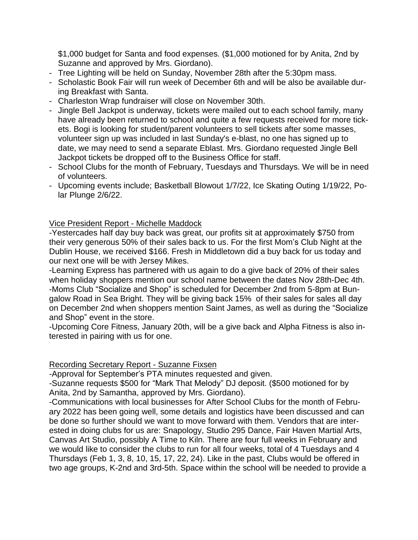\$1,000 budget for Santa and food expenses. (\$1,000 motioned for by Anita, 2nd by Suzanne and approved by Mrs. Giordano).

- Tree Lighting will be held on Sunday, November 28th after the 5:30pm mass.
- Scholastic Book Fair will run week of December 6th and will be also be available during Breakfast with Santa.
- Charleston Wrap fundraiser will close on November 30th.
- Jingle Bell Jackpot is underway, tickets were mailed out to each school family, many have already been returned to school and quite a few requests received for more tickets. Bogi is looking for student/parent volunteers to sell tickets after some masses, volunteer sign up was included in last Sunday's e-blast, no one has signed up to date, we may need to send a separate Eblast. Mrs. Giordano requested Jingle Bell Jackpot tickets be dropped off to the Business Office for staff.
- School Clubs for the month of February, Tuesdays and Thursdays. We will be in need of volunteers.
- Upcoming events include; Basketball Blowout 1/7/22, Ice Skating Outing 1/19/22, Polar Plunge 2/6/22.

## Vice President Report - Michelle Maddock

-Yestercades half day buy back was great, our profits sit at approximately \$750 from their very generous 50% of their sales back to us. For the first Mom's Club Night at the Dublin House, we received \$166. Fresh in Middletown did a buy back for us today and our next one will be with Jersey Mikes.

-Learning Express has partnered with us again to do a give back of 20% of their sales when holiday shoppers mention our school name between the dates Nov 28th-Dec 4th. -Moms Club "Socialize and Shop" is scheduled for December 2nd from 5-8pm at Bungalow Road in Sea Bright. They will be giving back 15% of their sales for sales all day on December 2nd when shoppers mention Saint James, as well as during the "Socialize and Shop" event in the store.

-Upcoming Core Fitness, January 20th, will be a give back and Alpha Fitness is also interested in pairing with us for one.

## Recording Secretary Report - Suzanne Fixsen

-Approval for September's PTA minutes requested and given.

-Suzanne requests \$500 for "Mark That Melody" DJ deposit. (\$500 motioned for by Anita, 2nd by Samantha, approved by Mrs. Giordano).

-Communications with local businesses for After School Clubs for the month of February 2022 has been going well, some details and logistics have been discussed and can be done so further should we want to move forward with them. Vendors that are interested in doing clubs for us are: Snapology, Studio 295 Dance, Fair Haven Martial Arts, Canvas Art Studio, possibly A Time to Kiln. There are four full weeks in February and we would like to consider the clubs to run for all four weeks, total of 4 Tuesdays and 4 Thursdays (Feb 1, 3, 8, 10, 15, 17, 22, 24). Like in the past, Clubs would be offered in two age groups, K-2nd and 3rd-5th. Space within the school will be needed to provide a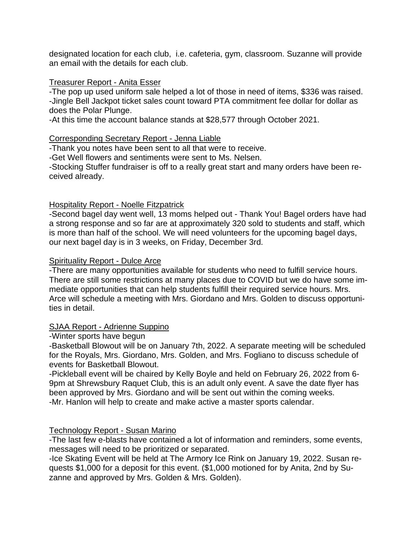designated location for each club, i.e. cafeteria, gym, classroom. Suzanne will provide an email with the details for each club.

### Treasurer Report - Anita Esser

-The pop up used uniform sale helped a lot of those in need of items, \$336 was raised. -Jingle Bell Jackpot ticket sales count toward PTA commitment fee dollar for dollar as does the Polar Plunge.

-At this time the account balance stands at \$28,577 through October 2021.

### Corresponding Secretary Report - Jenna Liable

-Thank you notes have been sent to all that were to receive.

-Get Well flowers and sentiments were sent to Ms. Nelsen.

-Stocking Stuffer fundraiser is off to a really great start and many orders have been received already.

## Hospitality Report - Noelle Fitzpatrick

-Second bagel day went well, 13 moms helped out - Thank You! Bagel orders have had a strong response and so far are at approximately 320 sold to students and staff, which is more than half of the school. We will need volunteers for the upcoming bagel days, our next bagel day is in 3 weeks, on Friday, December 3rd.

### Spirituality Report - Dulce Arce

-There are many opportunities available for students who need to fulfill service hours. There are still some restrictions at many places due to COVID but we do have some immediate opportunities that can help students fulfill their required service hours. Mrs. Arce will schedule a meeting with Mrs. Giordano and Mrs. Golden to discuss opportunities in detail.

## SJAA Report - Adrienne Suppino

#### -Winter sports have begun

-Basketball Blowout will be on January 7th, 2022. A separate meeting will be scheduled for the Royals, Mrs. Giordano, Mrs. Golden, and Mrs. Fogliano to discuss schedule of events for Basketball Blowout.

-Pickleball event will be chaired by Kelly Boyle and held on February 26, 2022 from 6- 9pm at Shrewsbury Raquet Club, this is an adult only event. A save the date flyer has been approved by Mrs. Giordano and will be sent out within the coming weeks. -Mr. Hanlon will help to create and make active a master sports calendar.

## Technology Report - Susan Marino

-The last few e-blasts have contained a lot of information and reminders, some events, messages will need to be prioritized or separated.

-Ice Skating Event will be held at The Armory Ice Rink on January 19, 2022. Susan requests \$1,000 for a deposit for this event. (\$1,000 motioned for by Anita, 2nd by Suzanne and approved by Mrs. Golden & Mrs. Golden).